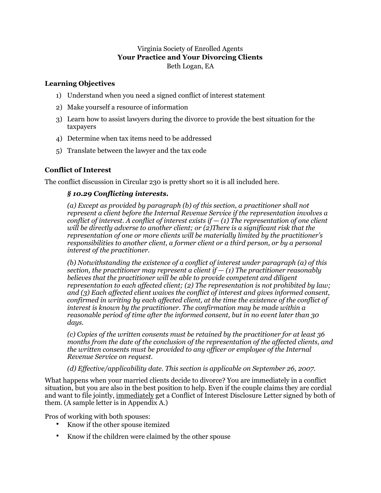# Virginia Society of Enrolled Agents **Your Practice and Your Divorcing Clients**  Beth Logan, EA

## **Learning Objectives**

- 1) Understand when you need a signed conflict of interest statement
- 2) Make yourself a resource of information
- 3) Learn how to assist lawyers during the divorce to provide the best situation for the taxpayers
- 4) Determine when tax items need to be addressed
- 5) Translate between the lawyer and the tax code

# **Conflict of Interest**

The conflict discussion in Circular 230 is pretty short so it is all included here.

## *§ 10.29 Conflicting interests.*

*(a) Except as provided by paragraph (b) of this section, a practitioner shall not represent a client before the Internal Revenue Service if the representation involves a conflict of interest. A conflict of interest exists if — (1) The representation of one client will be directly adverse to another client; or (2)There is a significant risk that the representation of one or more clients will be materially limited by the practitioner's responsibilities to another client, a former client or a third person, or by a personal interest of the practitioner.* 

*(b) Notwithstanding the existence of a conflict of interest under paragraph (a) of this section, the practitioner may represent a client if*  $- (1)$  *The practitioner reasonably believes that the practitioner will be able to provide competent and diligent representation to each affected client; (2) The representation is not prohibited by law; and (3) Each affected client waives the conflict of interest and gives informed consent, confirmed in writing by each affected client, at the time the existence of the conflict of interest is known by the practitioner. The confirmation may be made within a reasonable period of time after the informed consent, but in no event later than 30 days.* 

*(c) Copies of the written consents must be retained by the practitioner for at least 36 months from the date of the conclusion of the representation of the affected clients, and the written consents must be provided to any officer or employee of the Internal Revenue Service on request.* 

### *(d) Effective/applicability date. This section is applicable on September 26, 2007.*

What happens when your married clients decide to divorce? You are immediately in a conflict situation, but you are also in the best position to help. Even if the couple claims they are cordial and want to file jointly, immediately get a Conflict of Interest Disclosure Letter signed by both of them. (A sample letter is in Appendix A.)

Pros of working with both spouses:

- Know if the other spouse itemized
- Know if the children were claimed by the other spouse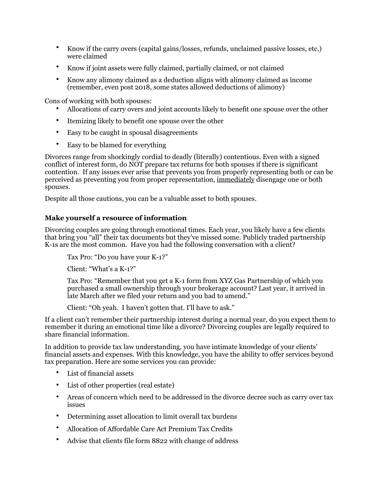- Know if the carry overs (capital gains/losses, refunds, unclaimed passive losses, etc.) were claimed
- Know if joint assets were fully claimed, partially claimed, or not claimed
- Know any alimony claimed as a deduction aligns with alimony claimed as income (remember, even post 2018, some states allowed deductions of alimony)

Cons of working with both spouses:

- Allocations of carry overs and joint accounts likely to benefit one spouse over the other
- Itemizing likely to benefit one spouse over the other
- Easy to be caught in spousal disagreements
- Easy to be blamed for everything

Divorces range from shockingly cordial to deadly (literally) contentious. Even with a signed conflict of interest form, do NOT prepare tax returns for both spouses if there is significant contention. If any issues ever arise that prevents you from properly representing both or can be perceived as preventing you from proper representation, immediately disengage one or both spouses.

Despite all those cautions, you can be a valuable asset to both spouses.

### **Make yourself a resource of information**

Divorcing couples are going through emotional times. Each year, you likely have a few clients that bring you "all" their tax documents but they've missed some. Publicly traded partnership K-1s are the most common. Have you had the following conversation with a client?

Tax Pro: "Do you have your K-1?"

Client: "What's a K-1?"

Tax Pro: "Remember that you get a K-1 form from XYZ Gas Partnership of which you purchased a small ownership through your brokerage account? Last year, it arrived in late March after we filed your return and you had to amend."

Client: "Oh yeah. I haven't gotten that. I'll have to ask."

If a client can't remember their partnership interest during a normal year, do you expect them to remember it during an emotional time like a divorce? Divorcing couples are legally required to share financial information.

In addition to provide tax law understanding, you have intimate knowledge of your clients' financial assets and expenses. With this knowledge, you have the ability to offer services beyond tax preparation. Here are some services you can provide:

- List of financial assets
- List of other properties (real estate)
- Areas of concern which need to be addressed in the divorce decree such as carry over tax issues
- Determining asset allocation to limit overall tax burdens
- Allocation of Affordable Care Act Premium Tax Credits
- Advise that clients file form 8822 with change of address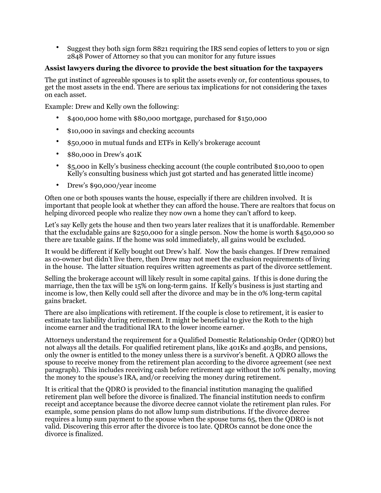• Suggest they both sign form 8821 requiring the IRS send copies of letters to you or sign 2848 Power of Attorney so that you can monitor for any future issues

### **Assist lawyers during the divorce to provide the best situation for the taxpayers**

The gut instinct of agreeable spouses is to split the assets evenly or, for contentious spouses, to get the most assets in the end. There are serious tax implications for not considering the taxes on each asset.

Example: Drew and Kelly own the following:

- \$400,000 home with \$80,000 mortgage, purchased for \$150,000
- \$10,000 in savings and checking accounts
- \$50,000 in mutual funds and ETFs in Kelly's brokerage account
- \$80,000 in Drew's 401K
- \$5,000 in Kelly's business checking account (the couple contributed \$10,000 to open Kelly's consulting business which just got started and has generated little income)
- Drew's \$90,000/year income

Often one or both spouses wants the house, especially if there are children involved. It is important that people look at whether they can afford the house. There are realtors that focus on helping divorced people who realize they now own a home they can't afford to keep.

Let's say Kelly gets the house and then two years later realizes that it is unaffordable. Remember that the excludable gains are \$250,000 for a single person. Now the home is worth \$450,000 so there are taxable gains. If the home was sold immediately, all gains would be excluded.

It would be different if Kelly bought out Drew's half. Now the basis changes. If Drew remained as co-owner but didn't live there, then Drew may not meet the exclusion requirements of living in the house. The latter situation requires written agreements as part of the divorce settlement.

Selling the brokerage account will likely result in some capital gains. If this is done during the marriage, then the tax will be 15% on long-term gains. If Kelly's business is just starting and income is low, then Kelly could sell after the divorce and may be in the 0% long-term capital gains bracket.

There are also implications with retirement. If the couple is close to retirement, it is easier to estimate tax liability during retirement. It might be beneficial to give the Roth to the high income earner and the traditional IRA to the lower income earner.

Attorneys understand the requirement for a Qualified Domestic Relationship Order (QDRO) but not always all the details. For qualified retirement plans, like 401Ks and 403Bs, and pensions, only the owner is entitled to the money unless there is a survivor's benefit. A QDRO allows the spouse to receive money from the retirement plan according to the divorce agreement (see next paragraph). This includes receiving cash before retirement age without the 10% penalty, moving the money to the spouse's IRA, and/or receiving the money during retirement.

It is critical that the QDRO is provided to the financial institution managing the qualified retirement plan well before the divorce is finalized. The financial institution needs to confirm receipt and acceptance because the divorce decree cannot violate the retirement plan rules. For example, some pension plans do not allow lump sum distributions. If the divorce decree requires a lump sum payment to the spouse when the spouse turns 65, then the QDRO is not valid. Discovering this error after the divorce is too late. QDROs cannot be done once the divorce is finalized.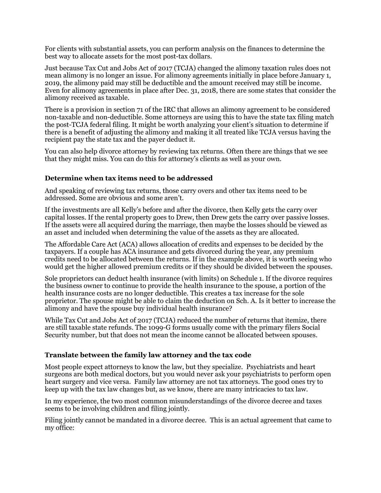For clients with substantial assets, you can perform analysis on the finances to determine the best way to allocate assets for the most post-tax dollars.

Just because Tax Cut and Jobs Act of 2017 (TCJA) changed the alimony taxation rules does not mean alimony is no longer an issue. For alimony agreements initially in place before January 1, 2019, the alimony paid may still be deductible and the amount received may still be income. Even for alimony agreements in place after Dec. 31, 2018, there are some states that consider the alimony received as taxable.

There is a provision in section 71 of the IRC that allows an alimony agreement to be considered non-taxable and non-deductible. Some attorneys are using this to have the state tax filing match the post-TCJA federal filing. It might be worth analyzing your client's situation to determine if there is a benefit of adjusting the alimony and making it all treated like TCJA versus having the recipient pay the state tax and the payer deduct it.

You can also help divorce attorney by reviewing tax returns. Often there are things that we see that they might miss. You can do this for attorney's clients as well as your own.

#### **Determine when tax items need to be addressed**

And speaking of reviewing tax returns, those carry overs and other tax items need to be addressed. Some are obvious and some aren't.

If the investments are all Kelly's before and after the divorce, then Kelly gets the carry over capital losses. If the rental property goes to Drew, then Drew gets the carry over passive losses. If the assets were all acquired during the marriage, then maybe the losses should be viewed as an asset and included when determining the value of the assets as they are allocated.

The Affordable Care Act (ACA) allows allocation of credits and expenses to be decided by the taxpayers. If a couple has ACA insurance and gets divorced during the year, any premium credits need to be allocated between the returns. If in the example above, it is worth seeing who would get the higher allowed premium credits or if they should be divided between the spouses.

Sole proprietors can deduct health insurance (with limits) on Schedule 1. If the divorce requires the business owner to continue to provide the health insurance to the spouse, a portion of the health insurance costs are no longer deductible. This creates a tax increase for the sole proprietor. The spouse might be able to claim the deduction on Sch. A. Is it better to increase the alimony and have the spouse buy individual health insurance?

While Tax Cut and Jobs Act of 2017 (TCJA) reduced the number of returns that itemize, there are still taxable state refunds. The 1099-G forms usually come with the primary filers Social Security number, but that does not mean the income cannot be allocated between spouses.

#### **Translate between the family law attorney and the tax code**

Most people expect attorneys to know the law, but they specialize. Psychiatrists and heart surgeons are both medical doctors, but you would never ask your psychiatrists to perform open heart surgery and vice versa. Family law attorney are not tax attorneys. The good ones try to keep up with the tax law changes but, as we know, there are many intricacies to tax law.

In my experience, the two most common misunderstandings of the divorce decree and taxes seems to be involving children and filing jointly.

Filing jointly cannot be mandated in a divorce decree. This is an actual agreement that came to my office: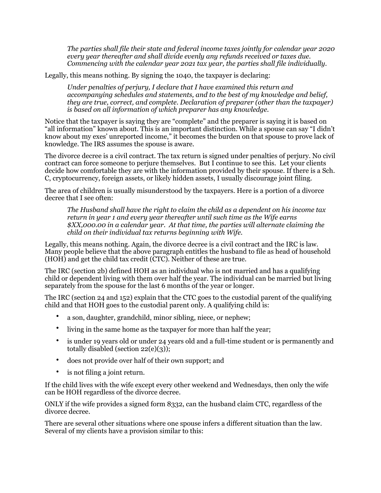*The parties shall file their state and federal income taxes jointly for calendar year 2020 every year thereafter and shall divide evenly any refunds received or taxes due. Commencing with the calendar year 2021 tax year, the parties shall file individually.* 

Legally, this means nothing. By signing the 1040, the taxpayer is declaring:

*Under penalties of perjury, I declare that I have examined this return and accompanying schedules and statements, and to the best of my knowledge and belief, they are true, correct, and complete. Declaration of preparer (other than the taxpayer) is based on all information of which preparer has any knowledge.* 

Notice that the taxpayer is saying they are "complete" and the preparer is saying it is based on "all information" known about. This is an important distinction. While a spouse can say "I didn't know about my exes' unreported income," it becomes the burden on that spouse to prove lack of knowledge. The IRS assumes the spouse is aware.

The divorce decree is a civil contract. The tax return is signed under penalties of perjury. No civil contract can force someone to perjure themselves. But I continue to see this. Let your clients decide how comfortable they are with the information provided by their spouse. If there is a Sch. C, cryptocurrency, foreign assets, or likely hidden assets, I usually discourage joint filing.

The area of children is usually misunderstood by the taxpayers. Here is a portion of a divorce decree that I see often:

*The Husband shall have the right to claim the child as a dependent on his income tax return in year 1 and every year thereafter until such time as the Wife earns \$XX,000.00 in a calendar year. At that time, the parties will alternate claiming the child on their individual tax returns beginning with Wife.* 

Legally, this means nothing. Again, the divorce decree is a civil contract and the IRC is law. Many people believe that the above paragraph entitles the husband to file as head of household (HOH) and get the child tax credit (CTC). Neither of these are true.

The IRC (section 2b) defined HOH as an individual who is not married and has a qualifying child or dependent living with them over half the year. The individual can be married but living separately from the spouse for the last 6 months of the year or longer.

The IRC (section 24 and 152) explain that the CTC goes to the custodial parent of the qualifying child and that HOH goes to the custodial parent only. A qualifying child is:

- a son, daughter, grandchild, minor sibling, niece, or nephew;
- living in the same home as the taxpayer for more than half the year;
- is under 19 years old or under 24 years old and a full-time student or is permanently and totally disabled (section 22(e)(3));
- does not provide over half of their own support; and
- is not filing a joint return.

If the child lives with the wife except every other weekend and Wednesdays, then only the wife can be HOH regardless of the divorce decree.

ONLY if the wife provides a signed form 8332, can the husband claim CTC, regardless of the divorce decree.

There are several other situations where one spouse infers a different situation than the law. Several of my clients have a provision similar to this: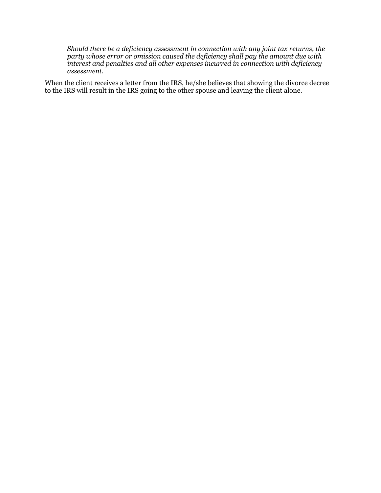*Should there be a deficiency assessment in connection with any joint tax returns, the party whose error or omission caused the deficiency shall pay the amount due with interest and penalties and all other expenses incurred in connection with deficiency assessment.* 

When the client receives a letter from the IRS, he/she believes that showing the divorce decree to the IRS will result in the IRS going to the other spouse and leaving the client alone.